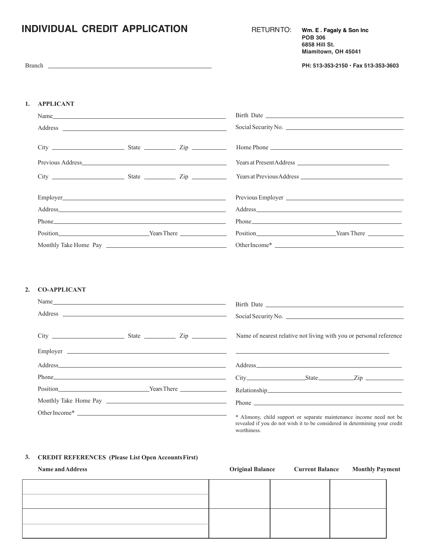# **INDIVIDUAL CREDIT APPLICATION** RETURNTO: **Wm. E . Fagaly & Son Inc**

|  | <b>RETURNTO:</b> |  |  |  |
|--|------------------|--|--|--|
|  |                  |  |  |  |

**POB 306 6858 Hill St. Miamitown, OH 45041**

Branch **PH: 513-353-2150 • Fax 513-353-3603**

## **1. APPLICANT**

|                                                                                                                                                                                                                               |  | Social Security No.  |
|-------------------------------------------------------------------------------------------------------------------------------------------------------------------------------------------------------------------------------|--|----------------------|
|                                                                                                                                                                                                                               |  |                      |
| $City$ $\rightharpoonup$ $\qquad \qquad$ $State$ $\rightharpoonup$ $\qquad \qquad$ $Zip$ $\rightharpoonup$                                                                                                                    |  | Home Phone           |
|                                                                                                                                                                                                                               |  |                      |
|                                                                                                                                                                                                                               |  |                      |
|                                                                                                                                                                                                                               |  |                      |
|                                                                                                                                                                                                                               |  |                      |
|                                                                                                                                                                                                                               |  |                      |
| Phone Phone Phone Phone Phone Phone Phone Phone Phone Phone Phone Phone Phone Phone Phone Phone Phone Phone Phone Phone Phone Phone Phone Phone Phone Phone Phone Phone Phone Phone Phone Phone Phone Phone Phone Phone Phone |  |                      |
|                                                                                                                                                                                                                               |  | Position Nears There |
|                                                                                                                                                                                                                               |  |                      |

### **2. CO-APPLICANT**

| Address experiences and the contract of the contract of the contract of the contract of the contract of the contract of the contract of the contract of the contract of the contract of the contract of the contract of the co | Social Security No.                                                                                                                               |
|--------------------------------------------------------------------------------------------------------------------------------------------------------------------------------------------------------------------------------|---------------------------------------------------------------------------------------------------------------------------------------------------|
| $City$ $City$ $State$ $Zip$                                                                                                                                                                                                    | Name of nearest relative not living with you or personal reference                                                                                |
|                                                                                                                                                                                                                                |                                                                                                                                                   |
|                                                                                                                                                                                                                                |                                                                                                                                                   |
|                                                                                                                                                                                                                                |                                                                                                                                                   |
|                                                                                                                                                                                                                                | Position Vears There Relationship                                                                                                                 |
|                                                                                                                                                                                                                                |                                                                                                                                                   |
| Other Income*                                                                                                                                                                                                                  | * Alimony, child support or separate maintenance income need not be<br>revealed if you do not wish it to be considered in determining your credit |

worthiness.

### **3. CREDIT REFERENCES (Please List Open AccountsFirst)**

| <b>Name and Address</b> |  | Original Balance Current Balance Monthly Payment |
|-------------------------|--|--------------------------------------------------|
|                         |  |                                                  |
|                         |  |                                                  |
|                         |  |                                                  |
|                         |  |                                                  |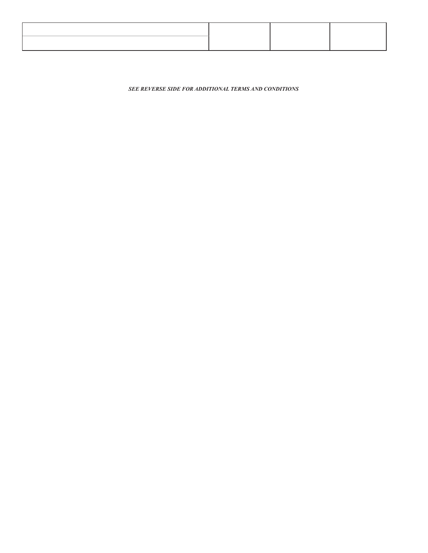*SEE REVERSE SIDE FOR ADDITIONAL TERMS AND CONDITIONS*